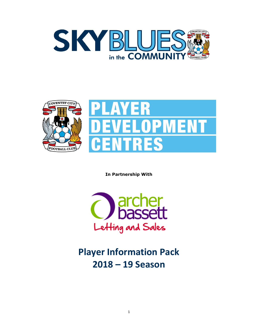



**In Partnership With**



**Player Information Pack 2018 – 19 Season**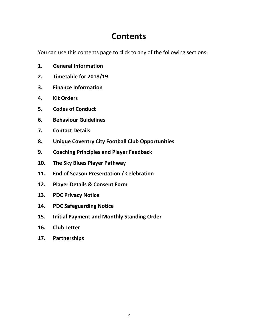# **Contents**

<span id="page-1-0"></span>You can use this contents page to click to any of the following sections:

- **1. [General Information](#page-1-0)**
- **2. Timetable [for 2018/19](#page-2-0)**
- **3. Finance [Information](#page-3-0)**
- **4. [Kit Orders](#page-6-0)**
- **5. [Codes of Conduct](#page-8-0)**
- **6. [Behaviour Guidelines](#page-12-0)**
- **7. [Contact Details](#page-13-0)**
- **8. [Unique Coventry City Football Club](#page-14-0) Opportunities**
- **9. [Coaching Principles and Player Feedback](#page-14-1)**
- **10. [The Sky Blues Player Pathway](#page-16-0)**
- **11. [End of Season Presentation](#page-16-1) / Celebration**
- **12. [Player Details & Consent Form](#page-17-0)**
- **13. [PDC Privacy Notice](#page-19-0)**
- **14. [PDC Safeguarding Notice](#page-20-0)**
- **15. [Initial Payment and Monthly Standing Order](#page-20-1)**
- **16. [Club Letter](#page-22-0)**
- **17. [Partnerships](#page-23-0)**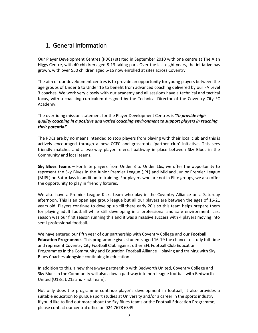## <span id="page-2-0"></span>1. General Information

Our Player Development Centres (PDCs) started in September 2010 with one centre at The Alan Higgs Centre, with 40 children aged 8-13 taking part. Over the last eight years, the initiative has grown, with over 550 children aged 5-16 now enrolled at sites across Coventry.

The aim of our development centres is to provide an opportunity for young players between the age groups of Under 6 to Under 16 to benefit from advanced coaching delivered by our FA Level 3 coaches. We work very closely with our academy and all sessions have a technical and tactical focus, with a coaching curriculum designed by the Technical Director of the Coventry City FC Academy.

The overriding mission statement for the Player Development Centres is *'To provide high quality coaching in a positive and varied coaching environment to support players in reaching their potential'.*

The PDCs are by no means intended to stop players from playing with their local club and this is actively encouraged through a new CCFC and grassroots 'partner club' initiative. This sees friendly matches and a two-way player referral pathway in place between Sky Blues in the Community and local teams.

**Sky Blues Teams** – For Elite players from Under 8 to Under 16s, we offer the opportunity to represent the Sky Blues in the Junior Premier League (JPL) and Midland Junior Premier League (MJPL) on Saturdays in addition to training. For players who are not in Elite groups, we also offer the opportunity to play in friendly fixtures.

We also have a Premier League Kicks team who play in the Coventry Alliance on a Saturday afternoon. This is an open age group league but all our players are between the ages of 16-21 years old. Players continue to develop up till there early 20's so this team helps prepare them for playing adult football while still developing in a professional and safe environment. Last season was our first season running this and it was a massive success with 4 players moving into semi-professional football.

We have entered our fifth year of our partnership with Coventry College and our **Football Education Programme**. This programme gives students aged 16-19 the chance to study full-time and represent Coventry City Football Club against other EFL Football Club Education Programmes in the Community and Education Football Alliance – playing and training with Sky Blues Coaches alongside continuing in education.

In addition to this, a new three-way partnership with Bedworth United, Coventry College and Sky Blues in the Community will also allow a pathway into non-league football with Bedworth United (U18s, U21s and First Team).

Not only does the programme continue player's development in football, it also provides a suitable education to pursue sport studies at University and/or a career in the sports industry. If you'd like to find out more about the Sky Blues teams or the Football Education Programme, please contact our central office on 024 7678 6349.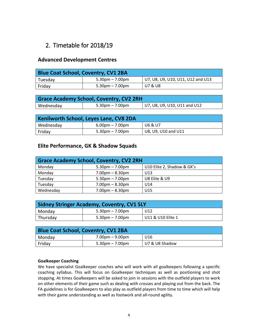## <span id="page-3-0"></span>2. Timetable for 2018/19

### **Advanced Development Centres**

| <b>Blue Coat School, Coventry, CV1 2BA</b> |                    |                                   |  |
|--------------------------------------------|--------------------|-----------------------------------|--|
| Tuesday                                    | 5.30pm – 7.00pm    | U7, U8, U9, U10, U11, U12 and U13 |  |
| Friday                                     | $5.30$ pm – 7.00pm | U7 & U8                           |  |

| <b>Grace Academy School, Coventry, CV2 2RH</b> |                 |                                  |  |
|------------------------------------------------|-----------------|----------------------------------|--|
| Wednesday                                      | 5.30pm – 7.00pm | $ $ U7, U8, U9, U10, U11 and U12 |  |

| Kenilworth School, Leyes Lane, CV8 2DA |                    |                     |  |
|----------------------------------------|--------------------|---------------------|--|
| Wednesday                              | $6.00$ pm – 7.00pm | U6 & U7             |  |
| Friday                                 | $5.30$ pm – 7.00pm | U8, U9, U10 and U11 |  |

### **Elite Performance, GK & Shadow Squads**

| <b>Grace Academy School, Coventry, CV2 2RH</b> |                                   |                            |  |
|------------------------------------------------|-----------------------------------|----------------------------|--|
| Monday                                         | $5.30pm - 7.00pm$                 | U10 Elite 2, Shadow & GK's |  |
| Monday                                         | $7.00pm - 8.30pm$                 | U <sub>13</sub>            |  |
| Tuesday                                        | $5.30 \text{pm} - 7.00 \text{pm}$ | U8 Elite & U9              |  |
| Tuesday                                        | $7.00pm - 8.30pm$                 | U14                        |  |
| Wednesday                                      | $7.00pm - 8.30pm$                 | U <sub>15</sub>            |  |

| <b>Sidney Stringer Academy, Coventry, CV1 5LY</b> |                    |                   |  |
|---------------------------------------------------|--------------------|-------------------|--|
| Monday                                            | $5.30$ pm – 7.00pm | U12               |  |
| <sup>I</sup> Thursday                             | $5.30pm - 7.00pm$  | U11 & U10 Elite 1 |  |

| <b>Blue Coat School, Coventry, CV1 2BA</b> |                      |                |  |
|--------------------------------------------|----------------------|----------------|--|
| Monday                                     | $7.00pm - 9.00pm$    | U16            |  |
| Friday                                     | $5.30$ pm $-7.00$ pm | U7 & U8 Shadow |  |

#### **Goalkeeper Coaching**

We have specialist Goalkeeper coaches who will work with all goalkeepers following a specific coaching syllabus. This will focus on Goalkeeper techniques as well as positioning and shot stopping. At times Goalkeepers will be asked to join in sessions with the outfield players to work on other elements of their game such as dealing with crosses and playing out from the back. The FA guidelines is for Goalkeepers to also play as outfield players from time to time which will help with their game understanding as well as footwork and all-round agility.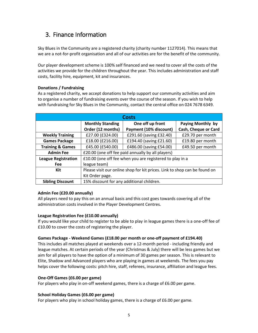## 3. Finance Information

Sky Blues in the Community are a registered charity (charity number 1127014). This means that we are a not-for-profit organisation and all of our activities are for the benefit of the community.

Our player development scheme is 100% self financed and we need to cover all the costs of the activities we provide for the children throughout the year. This includes administration and staff costs, facility hire, equipment, kit and insurances.

#### **Donations / Fundraising**

As a registered charity, we accept donations to help support our community activities and aim to organise a number of fundraising events over the course of the season. If you wish to help with fundraising for Sky Blues in the Community, contact the central office on 024 7678 6349.

| <b>Costs</b>                |                                                                           |                         |                      |  |
|-----------------------------|---------------------------------------------------------------------------|-------------------------|----------------------|--|
|                             | <b>Monthly Standing</b><br>One off up front<br>Paying Monthly by          |                         |                      |  |
|                             | Order (12 months)                                                         | Payment (10% discount)  | Cash, Cheque or Card |  |
| <b>Weekly Training</b>      | £27.00 (£324.00)                                                          | £291.60 (saving £32.40) | £29.70 per month     |  |
| <b>Games Package</b>        | £18.00 (£216.00)                                                          | £194.40 (saving £21.60) | £19.80 per month     |  |
| <b>Training &amp; Games</b> | £45.00 (£540.00)                                                          | £486.00 (saving £54.00) | £49.50 per month     |  |
| <b>Admin Fee</b>            | £20.00 (one off fee paid annually by all players)                         |                         |                      |  |
| <b>League Registration</b>  | £10.00 (one off fee when you are registered to play in a                  |                         |                      |  |
| Fee                         | league team)                                                              |                         |                      |  |
| Kit                         | Please visit our online shop for kit prices. Link to shop can be found on |                         |                      |  |
|                             | Kit Order page.                                                           |                         |                      |  |
| <b>Sibling Discount</b>     | 15% discount for any additional children.                                 |                         |                      |  |

#### **Admin Fee (£20.00 annually)**

All players need to pay this on an annual basis and this cost goes towards covering all of the administration costs involved in the Player Development Centres.

#### **League Registration Fee (£10.00 annually)**

If you would like your child to register to be able to play in league games there is a one-off fee of £10.00 to cover the costs of registering the player.

#### **Games Package - Weekend Games (£18.00 per month or one-off payment of £194.40)**

This includes all matches played at weekends over a 12-month period - including friendly and league matches. At certain periods of the year (Christmas & July) there will be less games but we aim for all players to have the option of a minimum of 30 games per season. This is relevant to Elite, Shadow and Advanced players who are playing in games at weekends. The fees you pay helps cover the following costs: pitch hire, staff, referees, insurance, affiliation and league fees.

#### **One-Off Games (£6.00 per game)**

For players who play in on-off weekend games, there is a charge of £6.00 per game.

#### **School Holiday Games (£6.00 per game)**

For players who play in school holiday games, there is a charge of £6.00 per game.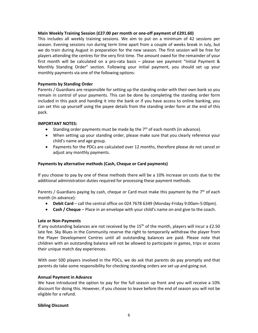#### **Main Weekly Training Session (£27.00 per month or one-off payment of £291.60)**

This includes all weekly training sessions. We aim to put on a minimum of 42 sessions per season. Evening sessions run during term time apart from a couple of weeks break in July, but we do train during August in preparation for the new season. The first session will be free for players attending the centres for the very first time. The amount owed for the remainder of your first month will be calculated on a pro-rata basis – please see payment "Initial Payment & Monthly Standing Order" section. Following your initial payment, you should set up your monthly payments via one of the following options:

#### **Payments by Standing Order**

Parents / Guardians are responsible for setting up the standing order with their own bank so you remain in control of your payments. This can be done by completing the standing order form included in this pack and handing it into the bank or if you have access to online banking, you can set this up yourself using the payee details from the standing order form at the end of this pack.

#### **IMPORTANT NOTES:**

- Standing order payments must be made by the  $7<sup>th</sup>$  of each month (in advance).
- When setting up your standing order, please make sure that you clearly reference your child's name and age group.
- Payments for the PDCs are calculated over 12 months, therefore please do not cancel or adjust any monthly payments.

#### **Payments by alternative methods (Cash, Cheque or Card payments)**

If you choose to pay by one of these methods there will be a 10% increase on costs due to the additional administration duties required for processing these payment methods.

Parents / Guardians paying by cash, cheque or Card must make this payment by the  $7<sup>th</sup>$  of each month (in advance):

- **Debit Card**  call the central office on 024 7678 6349 (Monday-Friday 9:00am-5:00pm).
- **Cash / Cheque** Place in an envelope with your child's name on and give to the coach.

#### **Late or Non-Payments**

If any outstanding balances are not received by the  $15<sup>th</sup>$  of the month, players will incur a £2.50 late fee. Sky Blues in the Community reserve the right to temporarily withdraw the player from the Player Development Centres until all outstanding balances are paid. Please note that children with an outstanding balance will not be allowed to participate in games, trips or access their unique match day experiences.

With over 500 players involved in the PDCs, we do ask that parents do pay promptly and that parents do take some responsibility for checking standing orders are set up and going out.

#### **Annual Payment in Advance**

We have introduced the option to pay for the full season up front and you will receive a 10% discount for doing this. However, if you choose to leave before the end of season you will not be eligible for a refund.

#### **Sibling Discount**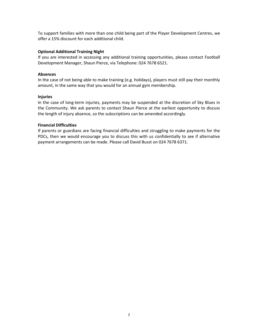<span id="page-6-0"></span>To support families with more than one child being part of the Player Development Centres, we offer a 15% discount for each additional child.

#### **Optional Additional Training Night**

If you are interested in accessing any additional training opportunities, please contact Football Development Manager, Shaun Pierce, via Telephone: 024 7678 6521.

#### **Absences**

In the case of not being able to make training (e.g. holidays), players must still pay their monthly amount, in the same way that you would for an annual gym membership.

#### **Injuries**

In the case of long-term injuries, payments may be suspended at the discretion of Sky Blues in the Community. We ask parents to contact Shaun Pierce at the earliest opportunity to discuss the length of injury absence, so the subscriptions can be amended accordingly.

#### **Financial Difficulties**

If parents or guardians are facing financial difficulties and struggling to make payments for the PDCs, then we would encourage you to discuss this with us confidentially to see if alternative payment arrangements can be made. Please call David Busst on 024 7678 6371.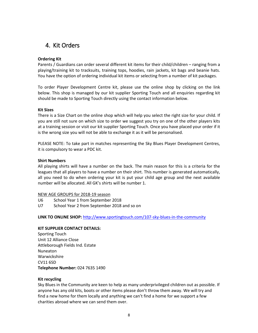## 4. Kit Orders

#### **Ordering Kit**

Parents / Guardians can order several different kit items for their child/children – ranging from a playing/training kit to tracksuits, training tops, hoodies, rain jackets, kit bags and beanie hats. You have the option of ordering individual kit items or selecting from a number of kit packages.

To order Player Development Centre kit, please use the online shop by clicking on the link below. This shop is managed by our kit supplier Sporting Touch and all enquiries regarding kit should be made to Sporting Touch directly using the contact information below.

#### **Kit Sizes**

There is a Size Chart on the online shop which will help you select the right size for your child. If you are still not sure on which size to order we suggest you try on one of the other players kits at a training session or visit our kit supplier Sporting Touch. Once you have placed your order if it is the wrong size you will not be able to exchange it as it will be personalised.

PLEASE NOTE: To take part in matches representing the Sky Blues Player Development Centres, it is compulsory to wear a PDC kit.

#### **Shirt Numbers**

All playing shirts will have a number on the back. The main reason for this is a criteria for the leagues that all players to have a number on their shirt. This number is generated automatically, all you need to do when ordering your kit is put your child age group and the next available number will be allocated. All GK's shirts will be number 1.

#### NEW AGE GROUPS for 2018-19 season

- U6 School Year 1 from September 2018
- U7 School Year 2 from September 2018 and so on

**LINK TO ONLINE SHOP:** <http://www.sportingtouch.com/107-sky-blues-in-the-community>

#### **KIT SUPPLIER CONTACT DETAILS:**

Sporting Touch Unit 12 Alliance Close Attleborough Fields Ind. Estate Nuneaton Warwickshire CV11 6SD **Telephone Number:** 024 7635 1490

#### **Kit recycling**

Sky Blues in the Community are keen to help as many underprivileged children out as possible. If anyone has any old kits, boots or other items please don't throw them away. We will try and find a new home for them locally and anything we can't find a home for we support a few charities abroad where we can send them over.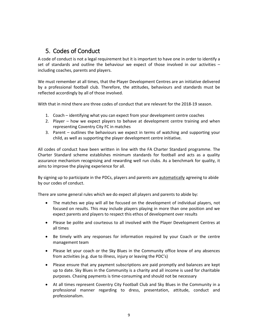## <span id="page-8-0"></span>5. Codes of Conduct

A code of conduct is not a legal requirement but it is important to have one in order to identify a set of standards and outline the behaviour we expect of those involved in our activities – including coaches, parents and players.

We must remember at all times, that the Player Development Centres are an initiative delivered by a professional football club. Therefore, the attitudes, behaviours and standards must be reflected accordingly by all of those involved.

With that in mind there are three codes of conduct that are relevant for the 2018-19 season.

- 1. Coach identifying what you can expect from your development centre coaches
- 2. Player how we expect players to behave at development centre training and when representing Coventry City FC in matches
- 3. Parent outlines the behaviours we expect in terms of watching and supporting your child, as well as supporting the player development centre initiative.

All codes of conduct have been written in line with the FA Charter Standard programme. The Charter Standard scheme establishes minimum standards for football and acts as a quality assurance mechanism recognising and rewarding well run clubs. As a benchmark for quality, it aims to improve the playing experience for all.

By signing up to participate in the PDCs, players and parents are automatically agreeing to abide by our codes of conduct.

There are some general rules which we do expect all players and parents to abide by:

- The matches we play will all be focused on the development of individual players, not focused on results. This may include players playing in more than one position and we expect parents and players to respect this ethos of development over results
- Please be polite and courteous to all involved with the Player Development Centres at all times
- Be timely with any responses for information required by your Coach or the centre management team
- Please let your coach or the Sky Blues in the Community office know of any absences from activities (e.g. due to illness, injury or leaving the PDC's)
- Please ensure that any payment subscriptions are paid promptly and balances are kept up to date. Sky Blues in the Community is a charity and all income is used for charitable purposes. Chasing payments is time-consuming and should not be necessary
- At all times represent Coventry City Football Club and Sky Blues in the Community in a professional manner regarding to dress, presentation, attitude, conduct and professionalism.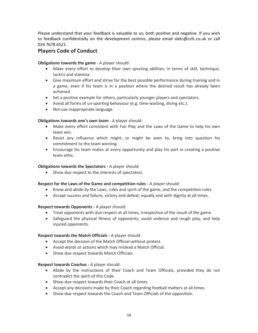Please understand that your feedback is valuable to us; both positive and negative. If you wish to feedback confidentially on the development centres, please email sbitc@ccfc.co.uk or call 024 7678 6521.

### **Players Code of Conduct**

#### **Obligations towards the game -** A player should:

- Make every effort to develop their own sporting abilities, in terms of skill, technique, tactics and stamina.
- Give maximum effort and strive for the best possible performance during training and in a game, even if his team is in a position where the desired result has already been achieved.
- Set a positive example for others, particularly younger players and spectators.
- Avoid all forms of un-sporting behaviour (e.g. time-wasting, diving etc.).
- Not use inappropriate language.

#### **Obligations towards one's own team -** A player should:

- Make every effort consistent with Fair Play and the Laws of the Game to help his own team win.
- Resist any influence which might, or might be seen to, bring into question his commitment to the team winning.
- Encourage his team mates at every opportunity and play his part in creating a positive team ethic.

#### **Obligations towards the Spectators -** A player should:

• Show due respect to the interests of spectators.

#### **Respect for the Laws of the Game and competition rules -** A player should:

- Know and abide by the Laws, rules and spirit of the game, and the competition rules.
- Accept success and failure, victory and defeat, equally and with dignity at all times.

#### **Respect towards Opponents -** A player should:

- Treat opponents with due respect at all times, irrespective of the result of the game.
- Safeguard the physical fitness of opponents, avoid violence and rough play, and help injured opponents.

#### **Respect towards the Match Officials -** A player should:

- Accept the decision of the Match Official without protest.
- Avoid words or actions which may mislead a Match Official.
- Show due respect towards Match Officials.

#### **Respect towards Coaches -** A player should:

- Abide by the instructions of their Coach and Team Officials, provided they do not contradict the spirit of this Code.
- Show due respect towards their Coach at all times.
- Accept any decisions made by their Coach regarding football matters at all times.
- Show due respect towards the Coach and Team Officials of the opposition.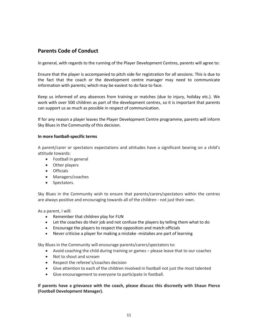### **Parents Code of Conduct**

In general, with regards to the running of the Player Development Centres, parents will agree to:

Ensure that the player is accompanied to pitch side for registration for all sessions. This is due to the fact that the coach or the development centre manager may need to communicate information with parents; which may be easiest to do face to face.

Keep us informed of any absences from training or matches (due to injury, holiday etc.). We work with over 500 children as part of the development centres, so it is important that parents can support us as much as possible in respect of communication.

If for any reason a player leaves the Player Development Centre programme, parents will inform Sky Blues in the Community of this decision.

#### **In more football-specific terms**

A parent/carer or spectators expectations and attitudes have a significant bearing on a child's attitude towards:

- Football in general
- Other players
- Officials
- Managers/coaches
- Spectators.

Sky Blues in the Community wish to ensure that parents/carers/spectators within the centres are always positive and encouraging towards all of the children - not just their own.

As a parent, I will:

- Remember that children play for FUN
- Let the coaches do their job and not confuse the players by telling them what to do
- Encourage the players to respect the opposition and match officials
- Never criticise a player for making a mistake -mistakes are part of learning

Sky Blues in the Community will encourage parents/carers/spectators to:

- Avoid coaching the child during training or games please leave that to our coaches
- Not to shout and scream
- Respect the referee's/coaches decision
- Give attention to each of the children involved in football not just the most talented
- Give encouragement to everyone to participate in football.

**If parents have a grievance with the coach, please discuss this discreetly with Shaun Pierce (Football Development Manager).**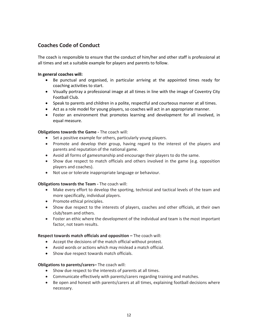### **Coaches Code of Conduct**

The coach is responsible to ensure that the conduct of him/her and other staff is professional at all times and set a suitable example for players and parents to follow.

#### **In general coaches will:**

- Be punctual and organised, in particular arriving at the appointed times ready for coaching activities to start.
- Visually portray a professional image at all times in line with the image of Coventry City Football Club.
- Speak to parents and children in a polite, respectful and courteous manner at all times.
- Act as a role model for young players, so coaches will act in an appropriate manner.
- Foster an environment that promotes learning and development for all involved, in equal measure.

#### **Obligations towards the Game -** The coach will:

- Set a positive example for others, particularly young players.
- Promote and develop their group, having regard to the interest of the players and parents and reputation of the national game.
- Avoid all forms of gamesmanship and encourage their players to do the same.
- Show due respect to match officials and others involved in the game (e.g. opposition players and coaches).
- Not use or tolerate inappropriate language or behaviour.

#### **Obligations towards the Team -** The coach will:

- Make every effort to develop the sporting, technical and tactical levels of the team and more specifically, individual players.
- Promote ethical principles.
- Show due respect to the interests of players, coaches and other officials, at their own club/team and others.
- Foster an ethic where the development of the individual and team is the most important factor, not team results.

#### **Respect towards match officials and opposition - The coach will:**

- Accept the decisions of the match official without protest.
- Avoid words or actions which may mislead a match official.
- Show due respect towards match officials.

#### **Obligations to parents/carers–** The coach will:

- Show due respect to the interests of parents at all times.
- Communicate effectively with parents/carers regarding training and matches.
- Be open and honest with parents/carers at all times, explaining football decisions where necessary.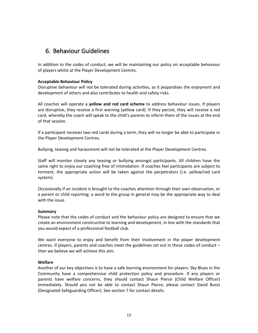### <span id="page-12-0"></span>6. Behaviour Guidelines

In addition to the codes of conduct, we will be maintaining our policy on acceptable behaviour of players whilst at the Player Development Centres.

#### **Acceptable Behaviour Policy**

Disruptive behaviour will not be tolerated during activities, as it jeopardises the enjoyment and development of others and also contributes to health and safety risks.

All coaches will operate a **yellow and red card scheme** to address behaviour issues. If players are disruptive, they receive a first warning (yellow card). If they persist, they will receive a red card, whereby the coach will speak to the child's parents to inform them of the issues at the end of that session.

If a participant receives two red cards during a term, they will no longer be able to participate in the Player Development Centres.

Bullying, teasing and harassment will not be tolerated at the Player Development Centres.

Staff will monitor closely any teasing or bullying amongst participants. All children have the same right to enjoy our coaching free of intimidation. If coaches feel participants are subject to torment, the appropriate action will be taken against the perpetrators (i.e. yellow/red card system).

Occasionally if an incident is brought to the coaches attention through their own observation, or a parent or child reporting; a word to the group in general may be the appropriate way to deal with the issue.

#### **Summary**

Please note that the codes of conduct and the behaviour policy are designed to ensure that we create an environment constructive to learning and development, in line with the standards that you would expect of a professional football club.

We want everyone to enjoy and benefit from their involvement in the player development centres. If players, parents and coaches meet the guidelines set out in these codes of conduct – then we believe we will achieve this aim.

#### **Welfare**

Another of our key objectives is to have a safe learning environment for players. Sky Blues in the Community have a comprehensive child protection policy and procedure. If any players or parents have welfare concerns, they should contact Shaun Pierce (Child Welfare Officer) immediately. Should you not be able to contact Shaun Pierce, please contact David Busst (Designated Safeguarding Officer). See section 7 for contact details.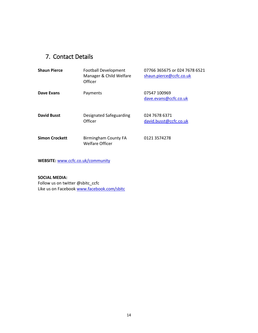## <span id="page-13-0"></span>7. Contact Details

| <b>Shaun Pierce</b>   | <b>Football Development</b><br>Manager & Child Welfare<br>Officer | 07766 365675 or 024 7678 6521<br>shaun.pierce@ccfc.co.uk |
|-----------------------|-------------------------------------------------------------------|----------------------------------------------------------|
| Dave Evans            | Payments                                                          | 07547 100969<br>dave.evans@ccfc.co.uk                    |
| <b>David Busst</b>    | Designated Safeguarding<br>Officer                                | 024 7678 6371<br>david.busst@ccfc.co.uk                  |
| <b>Simon Crockett</b> | <b>Birmingham County FA</b><br><b>Welfare Officer</b>             | 0121 3574278                                             |

**WEBSITE:** [www.ccfc.co.uk/community](http://www.ccfc.co.uk/community)

**SOCIAL MEDIA:** Follow us on twitter @sbitc\_ccfc Like us on Facebook [www.facebook.com/sbitc](http://www.facebook.com/sbitc)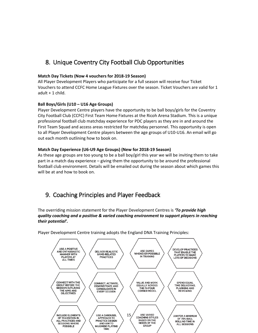## <span id="page-14-0"></span>8. Unique Coventry City Football Club Opportunities

#### **Match Day Tickets (Now 4 vouchers for 2018-19 Season)**

All Player Development Players who participate for a full season will receive four Ticket Vouchers to attend CCFC Home League Fixtures over the season. Ticket Vouchers are valid for 1 adult + 1 child.

#### **Ball Boys/Girls (U10 – U16 Age Groups)**

Player Development Centre players have the opportunity to be ball boys/girls for the Coventry City Football Club (CCFC) First Team Home Fixtures at the Ricoh Arena Stadium. This is a unique professional football club matchday experience for PDC players as they are in and around the First Team Squad and access areas restricted for matchday personnel. This opportunity is open to all Player Development Centre players between the age groups of U10-U16. An email will go out each month outlining how to book on.

#### **Match Day Experience (U6-U9 Age Groups) (New for 2018-19 Season)**

As these age groups are too young to be a ball boy/girl this year we will be inviting them to take part in a match day experience – giving them the opportunity to be around the professional football club environment. Details will be emailed out during the season about which games this will be at and how to book on.

## <span id="page-14-1"></span>9. Coaching Principles and Player Feedback

The overriding mission statement for the Player Development Centres is *'To provide high quality coaching and a positive & varied coaching environment to support players in reaching their potential'.*



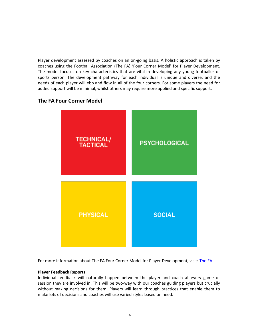Player development assessed by coaches on an on-going basis. A holistic approach is taken by coaches using the Football Association (The FA) 'Four Corner Model' for Player Development. The model focuses on key characteristics that are vital in developing any young footballer or sports person. The development pathway for each individual is unique and diverse, and the needs of each player will ebb and flow in all of the four corners. For some players the need for added support will be minimal, whilst others may require more applied and specific support.

### **The FA Four Corner Model**



For more information about The FA Four Corner Model for Player Development, visit: [The FA](https://community.thefa.com/england_dna/p/future_england_player)

#### **Player Feedback Reports**

Individual feedback will naturally happen between the player and coach at every game or session they are involved in. This will be two-way with our coaches guiding players but crucially without making decisions for them. Players will learn through practices that enable them to make lots of decisions and coaches will use varied styles based on need.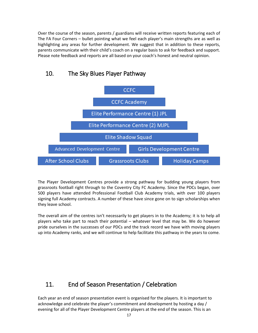Over the course of the season, parents / guardians will receive written reports featuring each of The FA Four Corners – bullet pointing what we feel each player's main strengths are as well as highlighting any areas for further development. We suggest that in addition to these reports, parents communicate with their child's coach on a regular basis to ask for feedback and support. Please note feedback and reports are all based on your coach's honest and neutral opinion.



### <span id="page-16-0"></span>10. The Sky Blues Player Pathway

The Player Development Centres provide a strong pathway for budding young players from grassroots football right through to the Coventry City FC Academy. Since the PDCs began, over 500 players have attended Professional Football Club Academy trials, with over 100 players signing full Academy contracts. A number of these have since gone on to sign scholarships when they leave school.

The overall aim of the centres isn't necessarily to get players in to the Academy; it is to help all players who take part to reach their potential – whatever level that may be. We do however pride ourselves in the successes of our PDCs and the track record we have with moving players up into Academy ranks, and we will continue to help facilitate this pathway in the years to come.

## <span id="page-16-1"></span>11. End of Season Presentation / Celebration

Each year an end of season presentation event is organised for the players. It is important to acknowledge and celebrate the player's commitment and development by hosting a day / evening for all of the Player Development Centre players at the end of the season. This is an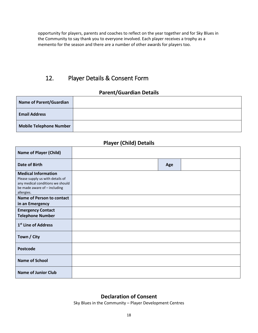opportunity for players, parents and coaches to reflect on the year together and for Sky Blues in the Community to say thank you to everyone involved. Each player receives a trophy as a memento for the season and there are a number of other awards for players too.

## <span id="page-17-0"></span>12. Player Details & Consent Form

### **Parent/Guardian Details**

| <b>Name of Parent/Guardian</b> |  |
|--------------------------------|--|
| <b>Email Address</b>           |  |
| <b>Mobile Telephone Number</b> |  |

### **Player (Child) Details**

| <b>Name of Player (Child)</b>                                                                                                                    |     |  |
|--------------------------------------------------------------------------------------------------------------------------------------------------|-----|--|
| <b>Date of Birth</b>                                                                                                                             | Age |  |
| <b>Medical Information</b><br>Please supply us with details of<br>any medical conditions we should<br>be made aware of - including<br>allergies. |     |  |
| <b>Name of Person to contact</b>                                                                                                                 |     |  |
| in an Emergency<br><b>Emergency Contact</b><br><b>Telephone Number</b>                                                                           |     |  |
| 1 <sup>st</sup> Line of Address                                                                                                                  |     |  |
| Town / City                                                                                                                                      |     |  |
| <b>Postcode</b>                                                                                                                                  |     |  |
| <b>Name of School</b>                                                                                                                            |     |  |
| <b>Name of Junior Club</b>                                                                                                                       |     |  |

### **Declaration of Consent**

Sky Blues in the Community – Player Development Centres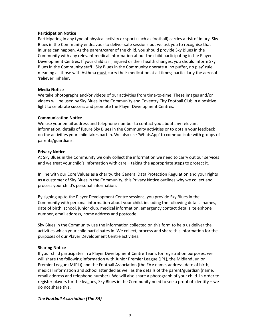#### **Participation Notice**

Participating in any type of physical activity or sport (such as football) carries a risk of injury. Sky Blues in the Community endeavour to deliver safe sessions but we ask you to recognise that injuries can happen. As the parent/carer of the child, you should provide Sky Blues in the Community with any relevant medical information about the child participating in the Player Development Centres. If your child is ill, injured or their health changes, you should inform Sky Blues in the Community staff. Sky Blues in the Community operate a 'no puffer, no play' rule meaning all those with Asthma must carry their medication at all times; particularly the aerosol 'reliever' inhaler.

#### **Media Notice**

We take photographs and/or videos of our activities from time-to-time. These images and/or videos will be used by Sky Blues in the Community and Coventry City Football Club in a positive light to celebrate success and promote the Player Development Centres.

#### **Communication Notice**

We use your email address and telephone number to contact you about any relevant information, details of future Sky Blues in the Community activities or to obtain your feedback on the activities your child takes part in. We also use 'WhatsApp' to communicate with groups of parents/guardians.

#### **Privacy Notice**

At Sky Blues in the Community we only collect the information we need to carry out our services and we treat your child's information with care – taking the appropriate steps to protect it.

In line with our Core Values as a charity, the General Data Protection Regulation and your rights as a customer of Sky Blues in the Community, this Privacy Notice outlines why we collect and process your child's personal information.

By signing up to the Player Development Centre sessions, you provide Sky Blues in the Community with personal information about your child, including the following details: names, date of birth, school, junior club, medical information, emergency contact details, telephone number, email address, home address and postcode.

Sky Blues in the Community use the information collected on this form to help us deliver the activities which your child participates in. We collect, process and share this information for the purposes of our Player Development Centre activities.

#### **Sharing Notice**

If your child participates in a Player Development Centre Team, for registration purposes, we will share the following information with Junior Premier League (JPL), the Midland Junior Premier League (MJPL)) and the Football Association (the FA): name, address, date of birth, medical information and school attended as well as the details of the parent/guardian (name, email address and telephone number). We will also share a photograph of your child. In order to register players for the leagues, Sky Blues in the Community need to see a proof of identity – we do not share this.

#### *The Football Association (The FA)*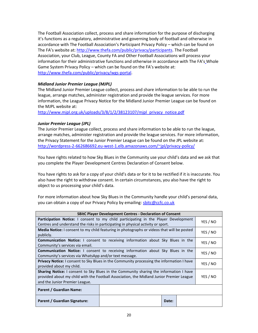<span id="page-19-0"></span>The Football Association collect, process and share information for the purpose of discharging it's functions as a regulatory, administrative and governing body of football and otherwise in accordance with The Football Association's Participant Privacy Policy – which can be found on The FA's website at: [http://www.thefa.com/public/privacy/participants.](http://www.thefa.com/public/privacy/participants) The Football Association, your Club, League, County FA and Other Football Associations will process your information for their administrative functions and otherwise in accordance with The FA's Whole Game System Privacy Policy – which can be found on the FA's website at: [http://www.thefa.com/public/privacy/wgs-portal.](http://www.thefa.com/public/privacy/wgs-portal)

#### *Midland Junior Premier League (MJPL)*

The Midland Junior Premier League collect, process and share information to be able to run the league, arrange matches, administer registration and provide the league services. For more information, the League Privacy Notice for the Midland Junior Premier League can be found on the MJPL website at:

[http://www.mjpl.org.uk/uploads/3/8/1/2/38123107/mjpl\\_privacy\\_notice.pdf](http://www.mjpl.org.uk/uploads/3/8/1/2/38123107/mjpl_privacy_notice.pdf)

#### *Junior Premier League (JPL)*

The Junior Premier League collect, process and share information to be able to run the league, arrange matches, administer registration and provide the league services. For more information, the Privacy Statement for the Junior Premier League can be found on the JPL website at: <http://wordpress-2-662686692.eu-west-1.elb.amazonaws.com/~jpl/privacy-policy/>

You have rights related to how Sky Blues in the Community use your child's data and we ask that you complete the Player Development Centres Declaration of Consent below.

You have rights to ask for a copy of your child's data or for it to be rectified if it is inaccurate. You also have the right to withdraw consent. In certain circumstances, you also have the right to object to us processing your child's data.

For more information about how Sky Blues in the Community handle your child's personal data, you can obtain a copy of our Privacy Policy by emailing: **[sbitc@ccfc.co.uk](mailto:sbitc@ccfc.co.uk)** 

| <b>SBitC Player Development Centres - Declaration of Consent</b>                                                                                                                                                                        |  |       |          |  |
|-----------------------------------------------------------------------------------------------------------------------------------------------------------------------------------------------------------------------------------------|--|-------|----------|--|
| <b>Participation Notice:</b> I consent to my child participating in the Player Development<br>Centres and understand the risks in participating in physical activity or sport.                                                          |  |       | YES / NO |  |
| Media Notice: I consent to my child featuring in photographs or videos that will be posted<br>publicly.                                                                                                                                 |  |       | YES / NO |  |
| <b>Communication Notice:</b> I consent to receiving information about Sky Blues in the<br>Community's services via email.                                                                                                               |  |       | YES / NO |  |
| <b>Communication Notice:</b> I consent to receiving information about Sky Blues in the<br>Community's services via WhatsApp and/or text message.                                                                                        |  |       | YES / NO |  |
| <b>Privacy Notice:</b> I consent to Sky Blues in the Community processing the information I have<br>provided about my child.                                                                                                            |  |       | YES / NO |  |
| <b>Sharing Notice:</b> I consent to Sky Blues in the Community sharing the information I have<br>YES / NO<br>provided about my child with the Football Association, the Midland Junior Premier League<br>and the Junior Premier League. |  |       |          |  |
| Parent / Guardian Name:                                                                                                                                                                                                                 |  |       |          |  |
| <b>Parent / Guardian Signature:</b>                                                                                                                                                                                                     |  | Date: |          |  |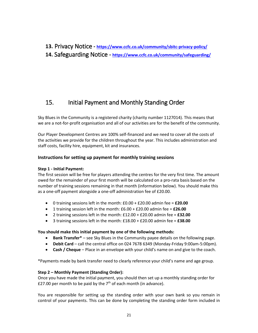### **13.** Privacy Notice **- <https://www.ccfc.co.uk/community/sbitc-privacy-policy/>**

### <span id="page-20-0"></span>**14.** Safeguarding Notice **- <https://www.ccfc.co.uk/community/safeguarding/>**

## <span id="page-20-1"></span>15. Initial Payment and Monthly Standing Order

Sky Blues in the Community is a registered charity (charity number 1127014). This means that we are a not-for-profit organisation and all of our activities are for the benefit of the community.

Our Player Development Centres are 100% self-financed and we need to cover all the costs of the activities we provide for the children throughout the year. This includes administration and staff costs, facility hire, equipment, kit and insurances.

#### **Instructions for setting up payment for monthly training sessions**

#### **Step 1 - Initial Payment:**

The first session will be free for players attending the centres for the very first time. The amount owed for the remainder of your first month will be calculated on a pro-rata basis based on the number of training sessions remaining in that month (information below). You should make this as a one-off payment alongside a one-off administration fee of £20.00.

- 0 training sessions left in the month: £0.00 + £20.00 admin fee = **£20.00**
- 1 training session left in the month: £6.00 + £20.00 admin fee = **£26.00**
- 2 training sessions left in the month: £12.00 + £20.00 admin fee = **£32.00**
- 3 training sessions left in the month: £18.00 + £20.00 admin fee = **£38.00**

#### **You should make this initial payment by one of the following methods:**

- **Bank Transfer\*** see Sky Blues in the Community payee details on the following page.
- **Debit Card**  call the central office on 024 7678 6349 (Monday-Friday 9:00am-5:00pm).
- **Cash / Cheque** Place in an envelope with your child's name on and give to the coach.

\*Payments made by bank transfer need to clearly reference your child's name and age group.

#### **Step 2 – Monthly Payment (Standing Order):**

Once you have made the initial payment, you should then set up a monthly standing order for £27.00 per month to be paid by the  $7<sup>th</sup>$  of each month (in advance).

You are responsible for setting up the standing order with your own bank so you remain in control of your payments. This can be done by completing the standing order form included in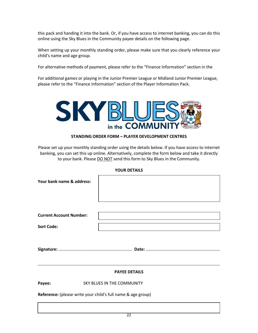this pack and handing it into the bank. Or, if you have access to internet banking, you can do this online using the Sky Blues in the Community payee details on the following page.

When setting up your monthly standing order, please make sure that you clearly reference your child's name and age group.

For alternative methods of payment, please refer to the "Finance Information" section in the

For additional games or playing in the Junior Premier League or Midland Junior Premier League, please refer to the "Finance Information" section of the Player Information Pack.



#### **STANDING ORDER FORM – PLAYER DEVELOPMENT CENTRES**

Please set up your monthly standing order using the details below. If you have access to internet banking, you can set this up online. Alternatively, complete the form below and take it directly to your bank. Please DO NOT send this form to Sky Blues in the Community.

**Your bank name & address:**

| <b>Current Account Number:</b> |  |
|--------------------------------|--|
| <b>Sort Code:</b>              |  |

**Signature:** ............................................................... **Date:** ...............................................................

#### **PAYEE DETAILS**

Payee: SKY BLUES IN THE COMMUNITY

**Reference:** (please write your child's full name & age group)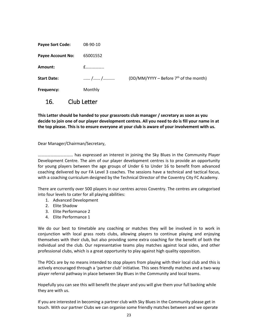| <b>Payee Sort Code:</b>  | 08-90-10 |                                          |
|--------------------------|----------|------------------------------------------|
| <b>Payee Account No:</b> | 65001552 |                                          |
| Amount:                  | $f$      |                                          |
| <b>Start Date:</b>       | / /      | (DD/MM/YYYY – Before $7th$ of the month) |
| Frequency:               | Monthly  |                                          |

<span id="page-22-0"></span>16. Club Letter

**This Letter should be handed to your grassroots club manager / secretary as soon as you decide to join one of our player development centres. All you need to do is fill your name in at the top please. This is to ensure everyone at your club is aware of your involvement with us.**

Dear Manager/Chairman/Secretary,

…………………………… has expressed an interest in joining the Sky Blues in the Community Player Development Centre. The aim of our player development centres is to provide an opportunity for young players between the age groups of Under 6 to Under 16 to benefit from advanced coaching delivered by our FA Level 3 coaches. The sessions have a technical and tactical focus, with a coaching curriculum designed by the Technical Director of the Coventry City FC Academy.

There are currently over 500 players in our centres across Coventry. The centres are categorised into four levels to cater for all playing abilities:

- 1. Advanced Development
- 2. Elite Shadow
- 3. Elite Performance 2
- 4. Elite Performance 1

We do our best to timetable any coaching or matches they will be involved in to work in conjunction with local grass roots clubs, allowing players to continue playing and enjoying themselves with their club, but also providing some extra coaching for the benefit of both the individual and the club. Our representative teams play matches against local sides, and other professional clubs, which is a great opportunity to play against high quality opposition.

The PDCs are by no means intended to stop players from playing with their local club and this is actively encouraged through a 'partner club' initiative. This sees friendly matches and a two-way player referral pathway in place between Sky Blues in the Community and local teams.

Hopefully you can see this will benefit the player and you will give them your full backing while they are with us.

If you are interested in becoming a partner club with Sky Blues in the Community please get in touch. With our partner Clubs we can organise some friendly matches between and we operate